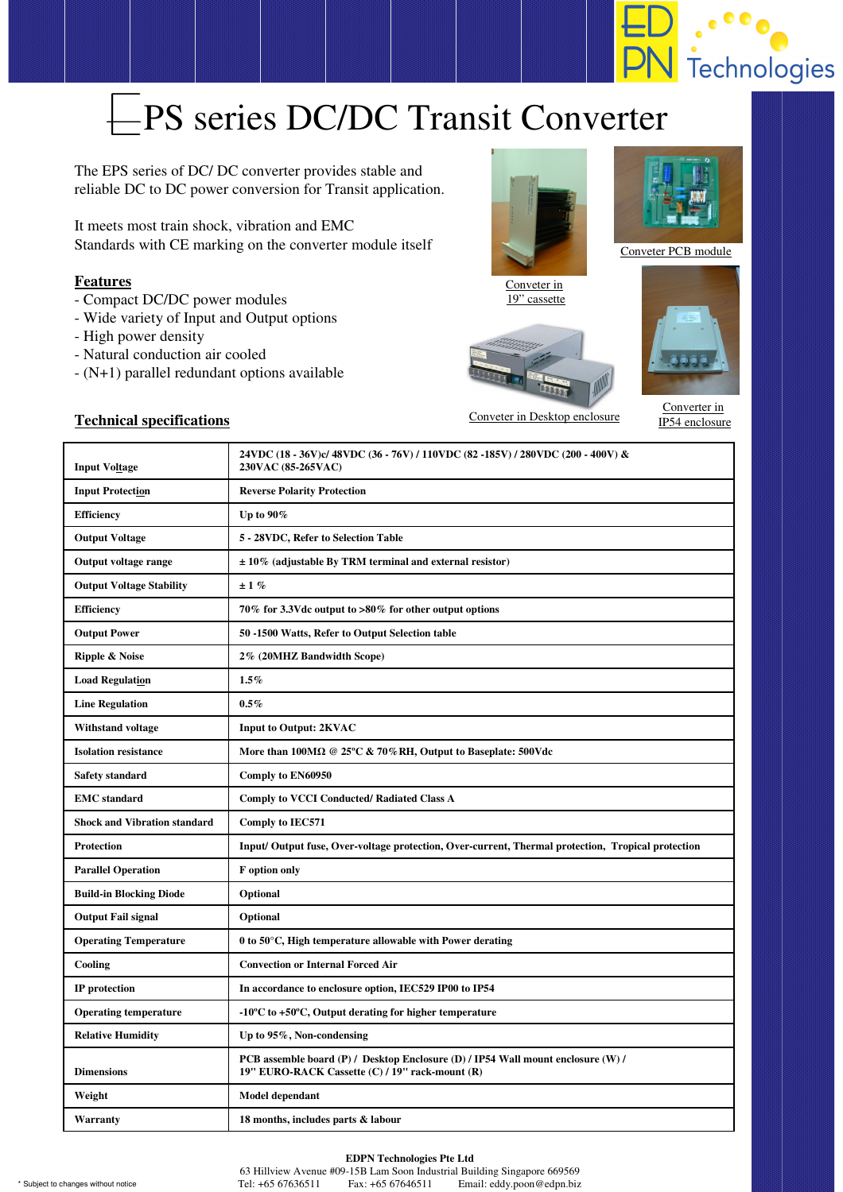

# EPS series DC/DC Transit Converter

The EPS series of DC/ DC converter provides stable and reliable DC to DC power conversion for Transit application.

It meets most train shock, vibration and EMC Standards with CE marking on the converter module itself

## **Features**

- Compact DC/DC power modules
- Wide variety of Input and Output options
- High power density
- Natural conduction air cooled
- (N+1) parallel redundant options available



Conveter in 19" cassette





#### Conveter PCB module



Converter in IP54 enclosure

## **Technical specifications** Conveter in Desktop enclosure

| <b>Input Voltage</b>                | 24VDC (18 - 36V)c/ 48VDC (36 - 76V) / 110VDC (82 -185V) / 280VDC (200 - 400V) &<br>230VAC (85-265VAC)                               |
|-------------------------------------|-------------------------------------------------------------------------------------------------------------------------------------|
| <b>Input Protection</b>             | <b>Reverse Polarity Protection</b>                                                                                                  |
| <b>Efficiency</b>                   | Up to $90\%$                                                                                                                        |
| <b>Output Voltage</b>               | 5 - 28VDC, Refer to Selection Table                                                                                                 |
| <b>Output voltage range</b>         | $\pm 10\%$ (adjustable By TRM terminal and external resistor)                                                                       |
| <b>Output Voltage Stability</b>     | ±1%                                                                                                                                 |
| <b>Efficiency</b>                   | 70% for 3.3Vdc output to >80% for other output options                                                                              |
| <b>Output Power</b>                 | 50 -1500 Watts, Refer to Output Selection table                                                                                     |
| <b>Ripple &amp; Noise</b>           | 2% (20MHZ Bandwidth Scope)                                                                                                          |
| <b>Load Regulation</b>              | $1.5\%$                                                                                                                             |
| <b>Line Regulation</b>              | $0.5\%$                                                                                                                             |
| Withstand voltage                   | <b>Input to Output: 2KVAC</b>                                                                                                       |
| <b>Isolation resistance</b>         | More than $100M\Omega \n\circledcirc 25^{\circ}C \& 70\% RH$ , Output to Baseplate: 500Vdc                                          |
| <b>Safety standard</b>              | Comply to EN60950                                                                                                                   |
|                                     |                                                                                                                                     |
| <b>EMC</b> standard                 | <b>Comply to VCCI Conducted/ Radiated Class A</b>                                                                                   |
| <b>Shock and Vibration standard</b> | Comply to IEC571                                                                                                                    |
| Protection                          | Input/Output fuse, Over-voltage protection, Over-current, Thermal protection, Tropical protection                                   |
| <b>Parallel Operation</b>           | F option only                                                                                                                       |
| <b>Build-in Blocking Diode</b>      | Optional                                                                                                                            |
| <b>Output Fail signal</b>           | Optional                                                                                                                            |
| <b>Operating Temperature</b>        | $0$ to 50 $\degree$ C, High temperature allowable with Power derating                                                               |
| Cooling                             | <b>Convection or Internal Forced Air</b>                                                                                            |
| IP protection                       | In accordance to enclosure option, IEC529 IP00 to IP54                                                                              |
| <b>Operating temperature</b>        | $-10^{\circ}$ C to $+50^{\circ}$ C, Output derating for higher temperature                                                          |
| <b>Relative Humidity</b>            | Up to $95\%$ , Non-condensing                                                                                                       |
| <b>Dimensions</b>                   | PCB assemble board (P) / Desktop Enclosure (D) / IP54 Wall mount enclosure (W) /<br>19" EURO-RACK Cassette (C) / 19" rack-mount (R) |
| Weight                              | Model dependant                                                                                                                     |

#### **EDPN Technologies Pte Ltd**

63 Hillview Avenue #09-15B Lam Soon Industrial Building Singapore 669569 \* Subject to changes without notice Tel: +65 67636511 Fax: +65 67646511 Email: eddy.poon@edpn.biz